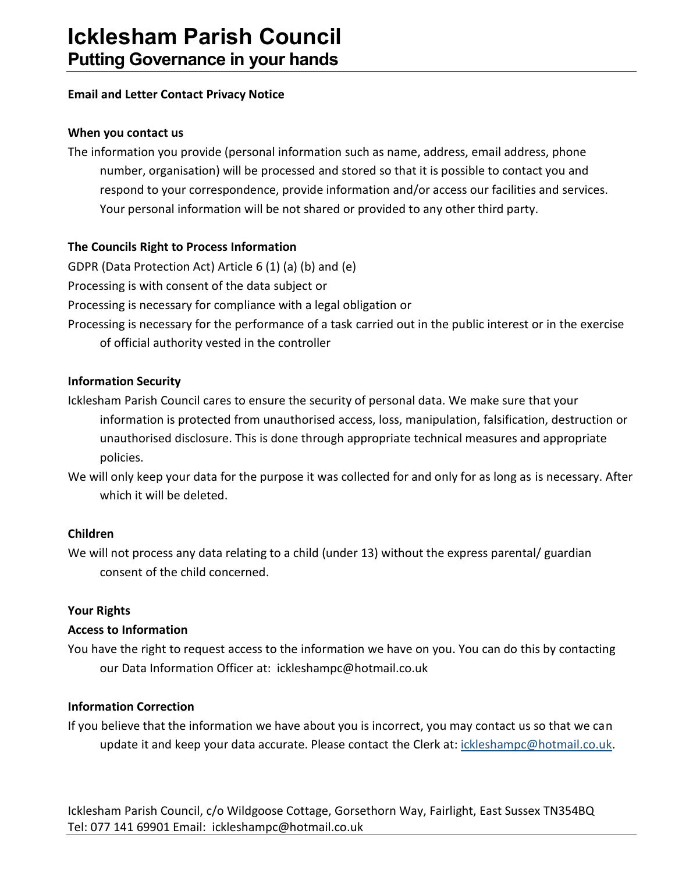## **Email and Letter Contact Privacy Notice**

#### **When you contact us**

The information you provide (personal information such as name, address, email address, phone number, organisation) will be processed and stored so that it is possible to contact you and respond to your correspondence, provide information and/or access our facilities and services. Your personal information will be not shared or provided to any other third party.

## **The Councils Right to Process Information**

GDPR (Data Protection Act) Article 6 (1) (a) (b) and (e) Processing is with consent of the data subject or Processing is necessary for compliance with a legal obligation or Processing is necessary for the performance of a task carried out in the public interest or in the exercise of official authority vested in the controller

## **Information Security**

Icklesham Parish Council cares to ensure the security of personal data. We make sure that your information is protected from unauthorised access, loss, manipulation, falsification, destruction or unauthorised disclosure. This is done through appropriate technical measures and appropriate policies.

We will only keep your data for the purpose it was collected for and only for as long as is necessary. After which it will be deleted.

## **Children**

We will not process any data relating to a child (under 13) without the express parental/ guardian consent of the child concerned.

## **Your Rights**

## **Access to Information**

You have the right to request access to the information we have on you. You can do this by contacting our Data Information Officer at: ickleshampc@hotmail.co.uk

## **Information Correction**

If you believe that the information we have about you is incorrect, you may contact us so that we can update it and keep your data accurate. Please contact the Clerk at[: ickleshampc@hotmail.co.uk.](mailto:ickleshampc@hotmail.co.uk)

Icklesham Parish Council, c/o Wildgoose Cottage, Gorsethorn Way, Fairlight, East Sussex TN354BQ Tel: 077 141 69901 Email: ickleshampc@hotmail.co.uk